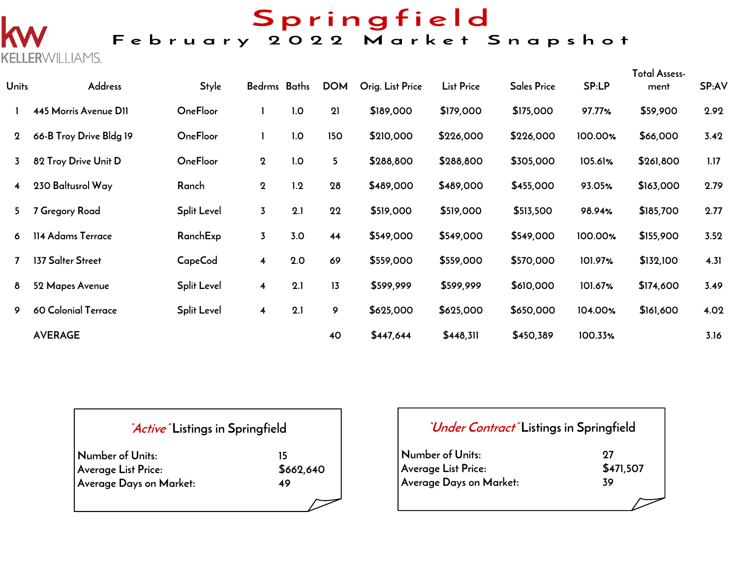# Springfield<br>February 2022 Market Snapshot

**KELLERWILLIAMS.** 

| <b>Units</b>            | <b>Address</b>          | <b>Style</b>       | Bedrms Baths            |     | <b>DOM</b> | Orig. List Price | <b>List Price</b> | <b>Sales Price</b> | SP:LP   | <b>Total Assess-</b><br>ment | SP:AV |
|-------------------------|-------------------------|--------------------|-------------------------|-----|------------|------------------|-------------------|--------------------|---------|------------------------------|-------|
|                         | 445 Morris Avenue D11   | <b>OneFloor</b>    |                         | 1.0 | 21         | \$189,000        | \$179,000         | \$175,000          | 97.77%  | \$59,900                     | 2.92  |
| $\mathbf 2$             | 66-B Troy Drive Bldg 19 | <b>OneFloor</b>    |                         | 1.0 | 150        | \$210,000        | \$226,000         | \$226,000          | 100.00% | \$66,000                     | 3.42  |
| $\overline{3}$          | 82 Troy Drive Unit D    | <b>OneFloor</b>    | $\mathbf 2$             | 1.0 | 5          | \$288,800        | \$288,800         | \$305,000          | 105.61% | \$261,800                    | 1.17  |
| $\overline{\mathbf{4}}$ | 230 Baltusrol Way       | Ranch              | $\mathbf{2}$            | 1.2 | 28         | \$489,000        | \$489,000         | \$455,000          | 93.05%  | \$163,000                    | 2.79  |
| 5                       | 7 Gregory Road          | <b>Split Level</b> | $\overline{3}$          | 2.1 | 22         | \$519,000        | \$519,000         | \$513,500          | 98.94%  | \$185,700                    | 2.77  |
| 6                       | 114 Adams Terrace       | RanchExp           | $\overline{3}$          | 3.0 | 44         | \$549,000        | \$549,000         | \$549,000          | 100.00% | \$155,900                    | 3.52  |
|                         | 137 Salter Street       | CapeCod            | $\overline{\mathbf{4}}$ | 2.0 | 69         | \$559,000        | \$559,000         | \$570,000          | 101.97% | \$132,100                    | 4.31  |
| 8                       | 52 Mapes Avenue         | <b>Split Level</b> | 4                       | 2.1 | 13         | \$599,999        | \$599,999         | \$610,000          | 101.67% | \$174,600                    | 3.49  |
| 9                       | 60 Colonial Terrace     | <b>Split Level</b> | $\overline{\mathbf{4}}$ | 2.1 | 9          | \$625,000        | \$625,000         | \$650,000          | 104.00% | \$161,600                    | 4.02  |
|                         | <b>AVERAGE</b>          |                    |                         |     | 40         | \$447,644        | \$448,311         | \$450,389          | 100.33% |                              | 3.16  |

| <i>Active</i> Listings in Springfield |  |  |
|---------------------------------------|--|--|
| 15                                    |  |  |
| \$662,640                             |  |  |
| 49                                    |  |  |
|                                       |  |  |

| <i>"Under Contract"</i> Listings in Springfield |                 |
|-------------------------------------------------|-----------------|
| Number of Units:<br>Average List Price:         | 97<br>\$471,507 |
| Average Days on Market:                         | 39              |
|                                                 |                 |